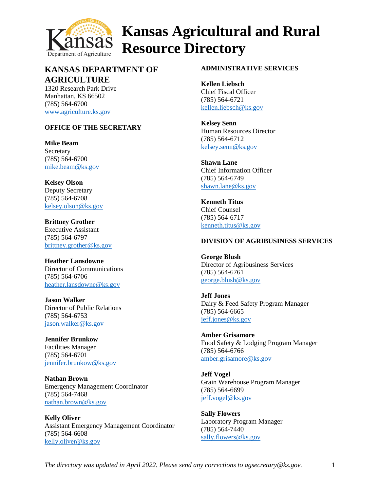

## **KANSAS DEPARTMENT OF AGRICULTURE**

1320 Research Park Drive Manhattan, KS 66502 (785) 564-6700 www.agriculture.ks.gov

### **OFFICE OF THE SECRETARY**

**Mike Beam** Secretary (785) 564-6700 [mike.beam@ks.gov](mailto:mike.beam@ks.gov)

**Kelsey Olson**  Deputy Secretary (785) 564-6708 [kelsey.olson@ks.gov](mailto:kelsey.olson@ks.gov)

**Brittney Grother** Executive Assistant (785) 564-6797 [brittney.grother@ks.gov](mailto:brittney.grother@ks.gov)

**Heather Lansdowne** Director of Communications (785) 564-6706 [heather.lansdowne@ks.gov](mailto:heather.lansdowne@ks.gov)

**Jason Walker** Director of Public Relations (785) 564-6753 [jason.walker@ks.gov](mailto:jason.walker@ks.gov)

**Jennifer Brunkow** Facilities Manager (785) 564-6701 [jennifer.brunkow@ks.gov](mailto:jennifer.brunkow@ks.gov)

**Nathan Brown** Emergency Management Coordinator (785) 564-7468 [nathan.brown@ks.gov](mailto:david.hogg@ks.gov)

**Kelly Oliver** Assistant Emergency Management Coordinator (785) 564-6608 [kelly.oliver@ks.gov](mailto:kelly.oliver@ks.gov)

#### **ADMINISTRATIVE SERVICES**

**Kellen Liebsch** Chief Fiscal Officer (785) 564-6721 [kellen.liebsch@ks.gov](mailto:kellen.liebsch@ks.gov)

**Kelsey Senn** Human Resources Director (785) 564-6712 [kelsey.senn@ks.gov](mailto:kelsey.senn@ks.gov)

**Shawn Lane** Chief Information Officer (785) 564-6749 [shawn.lane@ks.gov](mailto:shawn.lane@ks.gov)

**Kenneth Titus** Chief Counsel (785) 564-6717 [kenneth.titus@ks.gov](mailto:kenneth.titus@ks.gov)

#### **DIVISION OF AGRIBUSINESS SERVICES**

**George Blush** Director of Agribusiness Services (785) 564-6761 [george.blush@ks.gov](mailto:george.blush@ks.gov)

**Jeff Jones** Dairy & Feed Safety Program Manager (785) 564-6665 [jeff.jones@ks.gov](mailto:jeff.jones@ks.gov)

**Amber Grisamore** Food Safety & Lodging Program Manager (785) 564-6766 [amber.grisamore@ks.gov](mailto:amber.grisamore@ks.gov)

**Jeff Vogel** Grain Warehouse Program Manager (785) 564-6699 [jeff.vogel@ks.gov](mailto:jeff.vogel@ks.gov)

**Sally Flowers** Laboratory Program Manager (785) 564-7440 [sally.flowers@ks.gov](mailto:sarah.dedonder@ks.gov)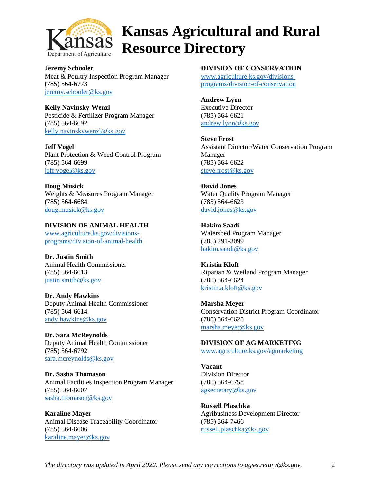

**Jeremy Schooler** Meat & Poultry Inspection Program Manager (785) 564-6773 [jeremy.schooler@ks.gov](mailto:jeremy.schooler@ks.gov)

**Kelly Navinsky-Wenzl** Pesticide & Fertilizer Program Manager (785) 564-6692 [kelly.navinskywenzl@ks.gov](mailto:kelly.navinskywenzl@ks.gov)

**Jeff Vogel** Plant Protection & Weed Control Program (785) 564-6699 [jeff.vogel@ks.gov](mailto:jeff.vogel@ks.gov)

**Doug Musick** Weights & Measures Program Manager (785) 564-6684 [doug.musick@ks.gov](mailto:doug.musick@ks.gov)

**DIVISION OF ANIMAL HEALTH** [www.agriculture.ks.gov/divisions](http://www.agriculture.ks.gov/divisions-programs/division-of-animal-health)[programs/division-of-animal-health](http://www.agriculture.ks.gov/divisions-programs/division-of-animal-health)

**Dr. Justin Smith** Animal Health Commissioner (785) 564-6613 [justin.smith@ks.gov](mailto:justin.smith@ks.gov)

**Dr. Andy Hawkins** Deputy Animal Health Commissioner (785) 564-6614 [andy.hawkins@ks.gov](mailto:andy.hawkins@ks.gov)

**Dr. Sara McReynolds** Deputy Animal Health Commissioner (785) 564-6792 [sara.mcreynolds@ks.gov](mailto:sara.mcreynolds@ks.gov)

**Dr. Sasha Thomason** Animal Facilities Inspection Program Manager (785) 564-6607 [sasha.thomason@ks.gov](mailto:sasha.thomason@ks.gov)

**Karaline Mayer** Animal Disease Traceability Coordinator (785) 564-6606 [karaline.mayer@ks.gov](mailto:karaline.mayer@ks.gov)

### **DIVISION OF CONSERVATION**

[www.agriculture.ks.gov/divisions](http://www.agriculture.ks.gov/divisions-programs/division-of-conservation)[programs/division-of-conservation](http://www.agriculture.ks.gov/divisions-programs/division-of-conservation)

**Andrew Lyon** Executive Director (785) 564-6621 [andrew.lyon@ks.gov](mailto:andrew.lyon@ks.gov)

**Steve Frost** Assistant Director/Water Conservation Program Manager (785) 564-6622 [steve.frost@ks.gov](mailto:steve.frost@ks.gov)

**David Jones** Water Quality Program Manager (785) 564-6623 [david.jones@ks.gov](mailto:david.jones@ks.gov)

**Hakim Saadi** Watershed Program Manager (785) 291-3099 [hakim.saadi@ks.gov](mailto:hakim.saadi@ks.gov)

**Kristin Kloft** Riparian & Wetland Program Manager (785) 564-6624 [kristin.a.kloft@ks.gov](mailto:kristin.a.kloft@ks.gov)

**Marsha Meyer** Conservation District Program Coordinator (785) 564-6625 [marsha.meyer@ks.gov](mailto:marsha.meyer@ks.gov)

**DIVISION OF AG MARKETING** www.agriculture.ks.gov/agmarketing

**Vacant** Division Director (785) 564-6758 [agsecretary@ks.gov](mailto:agsecretary@ks.gov)

**Russell Plaschka** Agribusiness Development Director (785) 564-7466 [russell.plaschka@ks.gov](mailto:russell.plaschka@ks.gov)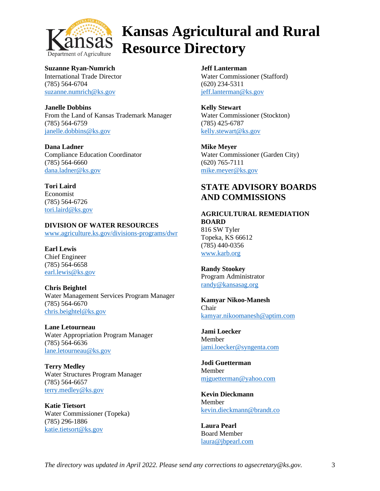

**Suzanne Ryan-Numrich** International Trade Director (785) 564-6704 [suzanne.numrich@ks.gov](mailto:suzanne.numrich@ks.gov)

**Janelle Dobbins** From the Land of Kansas Trademark Manager (785) 564-6759 [janelle.dobbins@ks.gov](mailto:janelle.dobbins@ks.gov)

**Dana Ladner** Compliance Education Coordinator (785) 564-6660 [dana.ladner@ks.gov](mailto:dana.ladner@ks.gov)

**Tori Laird** Economist (785) 564-6726 [tori.laird@ks.gov](mailto:tori.laird@ks.gov)

**DIVISION OF WATER RESOURCES** [www.agriculture.ks.gov/divisions-programs/dwr](http://www.agriculture.ks.gov/divisions-programs/dwr)

**Earl Lewis** Chief Engineer (785) 564-6658 [earl.lewis@ks.gov](mailto:earl.lewis@ks.gov)

**Chris Beightel** Water Management Services Program Manager (785) 564-6670 [chris.beightel@ks.gov](mailto:chris.beightel@ks.gov)

**Lane Letourneau** Water Appropriation Program Manager (785) 564-6636 [lane.letourneau@ks.gov](mailto:lane.letourneau@ks.gov)

**Terry Medley** Water Structures Program Manager (785) 564-6657 [terry.medley@ks.gov](mailto:terry.medley@ks.gov)

**Katie Tietsort** Water Commissioner (Topeka) (785) 296-1886 [katie.tietsort@ks.gov](mailto:katie.tietsort@ks.gov)

**Jeff Lanterman** Water Commissioner (Stafford)

(620) 234-5311 [jeff.lanterman@ks.gov](mailto:jeff.lanterman@ks.gov)

**Kelly Stewart** Water Commissioner (Stockton) (785) 425-6787 [kelly.stewart@ks.gov](mailto:kelly.stewart@ks.gov)

**Mike Meyer** Water Commissioner (Garden City) (620) 765-7111 [mike.meyer@ks.gov](mailto:mike.meyer@ks.gov)

## **STATE ADVISORY BOARDS AND COMMISSIONS**

**AGRICULTURAL REMEDIATION BOARD** 816 SW Tyler Topeka, KS 66612 (785) 440-0356 [www.karb.org](http://www.karb.org/)

**Randy Stookey** Program Administrator [randy@kansasag.org](mailto:randy@kansasag.org)

**Kamyar Nikoo-Manesh** Chair [kamyar.nikoomanesh@aptim.com](mailto:kamyar.nikoomanesh@aptim.com)

**Jami Loecker** Member [jami.loecker@syngenta.com](mailto:jami.loecker@syngenta.com)

**Jodi Guetterman** Member [mjguetterman@yahoo.com](mailto:mjguetterman@yahoo.com)

**Kevin Dieckmann** Member [kevin.dieckmann@brandt.co](mailto:kevin.dieckmann@brandt.co)

**Laura Pearl** Board Member [laura@jbpearl.com](mailto:laura@jbpearl.com)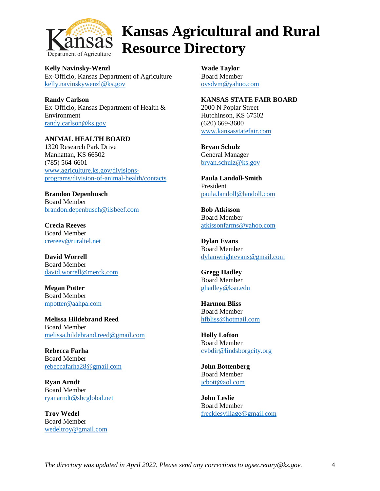

**Kelly Navinsky-Wenzl** Ex-Officio, Kansas Department of Agriculture [kelly.navinskywenzl@ks.gov](mailto:kelly.navinskywenzl@ks.gov)

**Randy Carlson** Ex-Officio, Kansas Department of Health & Environment [randy.carlson@ks.gov](mailto:randy.carlson@ks.gov)

#### **ANIMAL HEALTH BOARD** 1320 Research Park Drive Manhattan, KS 66502 (785) 564-6601 [www.agriculture.ks.gov/divisions](http://www.agriculture.ks.gov/divisions-programs/division-of-animal-health/contacts)[programs/division-of-animal-health/contacts](http://www.agriculture.ks.gov/divisions-programs/division-of-animal-health/contacts)

**Brandon Depenbusch** Board Member [brandon.depenbusch@ilsbeef.com](mailto:brandon.depenbusch@ilsbeef.com)

**Crecia Reeves** Board Member [crereev@ruraltel.net](mailto:crereev@ruraltel.net)

**David Worrell** Board Member [david.worrell@merck.com](mailto:david.worrell@merck.com)

**Megan Potter** Board Member [mpotter@aahpa.com](mailto:mpotter@aahpa.com)

**Melissa Hildebrand Reed** Board Member [melissa.hildebrand.reed@gmail.com](mailto:melissa.hildebrand.reed@gmail.com)

**Rebecca Farha** Board Member [rebeccafarha28@gmail.com](mailto:rebeccafarha28@gmail.com)

**Ryan Arndt** Board Member [ryanarndt@sbcglobal.net](mailto:ryanarndt@sbcglobal.net)

**Troy Wedel** Board Member [wedeltroy@gmail.com](mailto:wedeltroy@gmail.com) **Wade Taylor**  Board Member [ovsdvm@yahoo.com](mailto:ovsdvm@yahoo.com)

**KANSAS STATE FAIR BOARD** 2000 N Poplar Street Hutchinson, KS 67502 (620) 669-3600 [www.kansasstatefair.com](http://www.kansasstatefair.com/)

**Bryan Schulz** General Manager [bryan.schulz@ks.gov](mailto:bryan.schulz@ks.gov)

**Paula Landoll-Smith** President [paula.landoll@landoll.com](mailto:paula.landoll@landoll.com)

**Bob Atkisson** Board Member [atkissonfarms@yahoo.com](mailto:atkissonfarms@yahoo.com)

**Dylan Evans** Board Member [dylanwrightevans@gmail.com](mailto:dylanwrightevans@gmail.com)

**Gregg Hadley** Board Member [ghadley@ksu.edu](mailto:ghadley@ksu.edu)

**Harmon Bliss** Board Member [hfbliss@hotmail.com](mailto:hfbliss@hotmail.com)

**Holly Lofton** Board Member [cvbdir@lindsborgcity.org](mailto:cvbdir@lindsborgcity.org)

**John Bottenberg** Board Member [jcbott@aol.com](mailto:jcbott@aol.com)

**John Leslie** Board Member [frecklesvillage@gmail.com](mailto:frecklesvillage@gmail.com)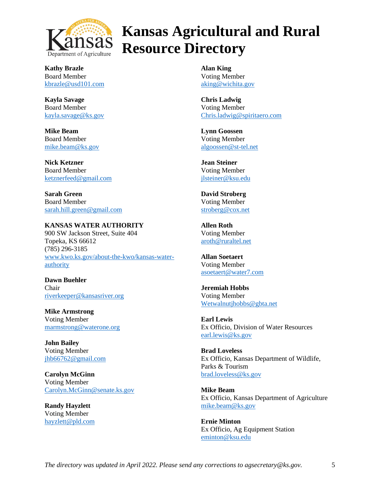

**Kathy Brazle** Board Member [kbrazle@usd101.com](mailto:kbrazle@usd101.com)

**Kayla Savage** Board Member [kayla.savage@ks.gov](mailto:kayla.savage@ks.gov)

**Mike Beam** Board Member [mike.beam@ks.gov](mailto:mike.beam@ks.gov)

**Nick Ketzner** Board Member [ketznerfeed@gmail.com](mailto:ketznerfeed@gmail.com)

**Sarah Green** Board Member [sarah.hill.green@gmail.com](mailto:sarah.hill.green@gmail.com)

**KANSAS WATER AUTHORITY** 900 SW Jackson Street, Suite 404 Topeka, KS 66612 (785) 296-3185 [www.kwo.ks.gov/about-the-kwo/kansas-water](http://www.kwo.ks.gov/about-the-kwo/kansas-water-authority)[authority](http://www.kwo.ks.gov/about-the-kwo/kansas-water-authority)

**Dawn Buehler** Chair [riverkeeper@kansasriver.org](mailto:riverkeeper@kansasriver.org)

**Mike Armstrong** Voting Member [marmstrong@waterone.org](mailto:marmstrong@waterone.org)

**John Bailey** Voting Member [jhb66762@gmail.com](mailto:jhb66762@gmail.com)

**Carolyn McGinn** Voting Member [Carolyn.McGinn@senate.ks.gov](mailto:Carolyn.McGinn@senate.ks.gov)

**Randy Hayzlett** Voting Member [hayzlett@pld.com](mailto:hayzlett@pld.com) **Alan King** Voting Member [aking@wichita.gov](mailto:aking@wichita.gov)

**Chris Ladwig** Voting Member [Chris.ladwig@spiritaero.com](mailto:Chris.ladwig@spiritaero.com)

**Lynn Goossen** Voting Member [algoossen@st-tel.net](mailto:algoossen@st-tel.net)

**Jean Steiner** Voting Member [jlsteiner@ksu.edu](mailto:jlsteiner@ksu.edu)

**David Stroberg** Voting Member [stroberg@cox.net](mailto:stroberg@cox.net)

**Allen Roth** Voting Member [aroth@ruraltel.net](mailto:aroth@ruraltel.net)

**Allan Soetaert** Voting Member [asoetaert@water7.com](mailto:asoetaert@water7.com)

**Jeremiah Hobbs** Voting Member [Wetwalnutjhobbs@gbta.net](mailto:Wetwalnutjhobbs@gbta.net)

**Earl Lewis** Ex Officio, Division of Water Resources [earl.lewis@ks.gov](mailto:earl.lewis@ks.gov)

**Brad Loveless** Ex Officio, Kansas Department of Wildlife, Parks & Tourism [brad.loveless@ks.gov](mailto:brad.loveless@ks.gov)

**Mike Beam** Ex Officio, Kansas Department of Agriculture [mike.beam@ks.gov](mailto:mike.beam@ks.gov)

**Ernie Minton** Ex Officio, Ag Equipment Station [eminton@ksu.edu](mailto:eminton@ksu.edu)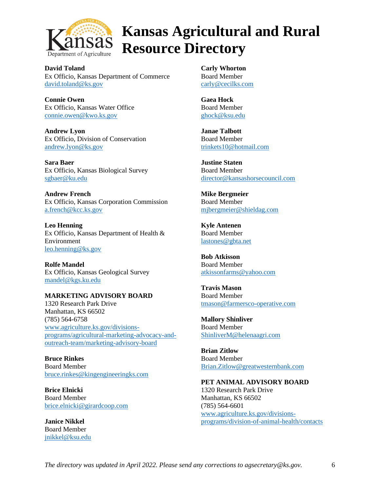

**David Toland** Ex Officio, Kansas Department of Commerce [david.toland@ks.gov](mailto:david.toland@ks.gov)

**Connie Owen** Ex Officio, Kansas Water Office [connie.owen@kwo.ks.gov](mailto:connie.owen@kwo.ks.gov)

**Andrew Lyon** Ex Officio, Division of Conservation [andrew.lyon@ks.gov](mailto:andrew.lyon@ks.gov)

**Sara Baer** Ex Officio, Kansas Biological Survey [sgbaer@ku.edu](mailto:sgbaer@ku.edu)

**Andrew French** Ex Officio, Kansas Corporation Commission [a.french@kcc.ks.gov](mailto:a.french@kcc.ks.gov)

**Leo Henning** Ex Officio, Kansas Department of Health & Environment [leo.henning@ks.gov](mailto:leo.henning@ks.gov)

**Rolfe Mandel** Ex Officio, Kansas Geological Survey [mandel@kgs.ku.edu](mailto:mandel@kgs.ku.edu)

**MARKETING ADVISORY BOARD** 1320 Research Park Drive Manhattan, KS 66502 (785) 564-6758 [www.agriculture.ks.gov/divisions](http://www.agriculture.ks.gov/divisions-programs/agricultural-marketing-advocacy-and-outreach-team/marketing-advisory-board)[programs/agricultural-marketing-advocacy-and](http://www.agriculture.ks.gov/divisions-programs/agricultural-marketing-advocacy-and-outreach-team/marketing-advisory-board)[outreach-team/marketing-advisory-board](http://www.agriculture.ks.gov/divisions-programs/agricultural-marketing-advocacy-and-outreach-team/marketing-advisory-board)

**Bruce Rinkes** Board Member [bruce.rinkes@kingengineeringks.com](mailto:bruce.rinkes@kingengineeringks.com)

**Brice Elnicki** Board Member [brice.elnicki@girardcoop.com](mailto:fosterdairy@yahoo.com)

**Janice Nikkel** Board Member [jnikkel@ksu.edu](mailto:suppes@wbsnet.org) **Carly Whorton** Board Member [carly@cecilks.com](mailto:carly@cecilks.com)

**Gaea Hock** Board Member [ghock@ksu.edu](mailto:ghock@ksu.edu)

**Janae Talbott** Board Member [trinkets10@hotmail.com](mailto:trinkets10@hotmail.com)

**Justine Staten** Board Member [director@kansashorsecouncil.com](mailto:director@kansashorsecouncil.com)

**Mike Bergmeier** Board Member [mjbergmeier@shieldag.com](mailto:mjbergmeier@shieldag.com)

**Kyle Antenen** Board Member [lastones@gbta.net](mailto:lastones@gbta.net)

**Bob Atkisson** Board Member [atkissonfarms@yahoo.com](mailto:atkissonfarms@yahoo.com)

**Travis Mason** Board Member [tmason@farmersco-operative.com](mailto:tmason@farmersco-operative.com)

**Mallory Shinliver** Board Member [ShinliverM@helenaagri.com](mailto:ShinliverM@helenaagri.com)

**Brian Zitlow** Board Member [Brian.Zitlow@greatwesternbank.com](mailto:Brian.Zitlow@greatwesternbank.com)

**PET ANIMAL ADVISORY BOARD** 1320 Research Park Drive Manhattan, KS 66502 (785) 564-6601 [www.agriculture.ks.gov/divisions](http://www.agriculture.ks.gov/divisions-programs/division-of-animal-health/contacts)[programs/division-of-animal-health/contacts](http://www.agriculture.ks.gov/divisions-programs/division-of-animal-health/contacts)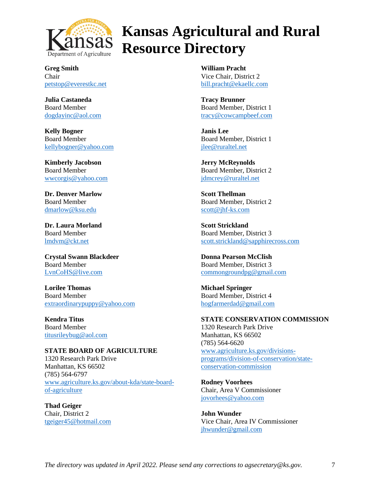

**Greg Smith** Chair [petstop@everestkc.net](mailto:petstop@everestkc.net)

**Julia Castaneda** Board Member [dogdayinc@aol.com](mailto:dogdayinc@aol.com)

**Kelly Bogner** Board Member [kellybogner@yahoo.com](mailto:kellybogner@yahoo.com)

**Kimberly Jacobson** Board Member [wwcorgis@yahoo.com](mailto:wwcorgis@yahoo.com)

**Dr. Denver Marlow** Board Member [dmarlow@ksu.edu](mailto:dmarlow@ksu.edu)

**Dr. Laura Morland** Board Member [lmdvm@ckt.net](mailto:lmdvm@ckt.net)

**Crystal Swann Blackdeer** Board Member [LvnCoHS@live.com](mailto:LvnCoHS@live.com)

**Lorilee Thomas**  Board Member [extraordinarypuppy@yahoo.com](mailto:extraordinarypuppy@yahoo.com)

**Kendra Titus** Board Member [titusrileybug@aol.com](mailto:titusrileybug@aol.com)

**STATE BOARD OF AGRICULTURE** 1320 Research Park Drive Manhattan, KS 66502 (785) 564-6797 [www.agriculture.ks.gov/about-kda/state-board](http://www.agriculture.ks.gov/about-kda/state-board-of-agriculture)[of-agriculture](http://www.agriculture.ks.gov/about-kda/state-board-of-agriculture)

**Thad Geiger** Chair, District 2 [tgeiger45@hotmail.com](mailto:tgeiger45@hotmail.com) **William Pracht** Vice Chair, District 2 [bill.pracht@ekaellc.com](mailto:bill.pracht@ekaellc.com)

**Tracy Brunner** Board Member, District 1 [tracy@cowcampbeef.com](mailto:tracy@cowcampbeef.com)

**Janis Lee** Board Member, District 1 [jlee@ruraltel.net](mailto:jlee@ruraltel.net)

**Jerry McReynolds** Board Member, District 2 [jdmcrey@ruraltel.net](mailto:jdmcrey@ruraltel.net)

**Scott Thellman** Board Member, District 2 [scott@jhf-ks.com](mailto:scott@jhf-ks.com)

**Scott Strickland** Board Member, District 3 [scott.strickland@sapphirecross.com](mailto:scott.strickland@sapphirecross.com)

**Donna Pearson McClish** Board Member, District 3 [commongroundpg@gmail.com](mailto:commongroundpg@gmail.com)

**Michael Springer** Board Member, District 4 [hogfarmerdad@gmail.com](mailto:hogfarmerdad@gmail.com)

#### **STATE CONSERVATION COMMISSION**

1320 Research Park Drive Manhattan, KS 66502 (785) 564-6620 [www.agriculture.ks.gov/divisions](http://www.agriculture.ks.gov/divisions-programs/division-of-conservation/state-conservation-commission)[programs/division-of-conservation/state](http://www.agriculture.ks.gov/divisions-programs/division-of-conservation/state-conservation-commission)[conservation-commission](http://www.agriculture.ks.gov/divisions-programs/division-of-conservation/state-conservation-commission)

**Rodney Voorhees** Chair, Area V Commissioner [jovorhees@yahoo.com](mailto:jovorhees@yahoo.com)

**John Wunder** Vice Chair, Area IV Commissioner [jhwunder@gmail.com](mailto:jhwunder@gmail.com)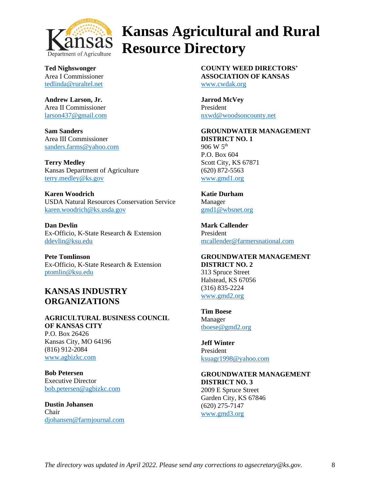

**Ted Nighswonger** Area I Commissioner [tedlinda@ruraltel.net](mailto:tedlinda@ruraltel.net)

**Andrew Larson, Jr.** Area II Commissioner [larson437@gmail.com](mailto:larson437@gmail.com)

**Sam Sanders** Area III Commissioner [sanders.farms@yahoo.com](mailto:sanders.farms@yahoo.com)

**Terry Medley** Kansas Department of Agriculture [terry.medley@ks.gov](mailto:terry.medley@ks.gov)

**Karen Woodrich** USDA Natural Resources Conservation Service [karen.woodrich@ks.usda.gov](mailto:karen.woodrich@ks.usda.gov)

**Dan Devlin** Ex-Officio, K-State Research & Extension [ddevlin@ksu.edu](mailto:ddevlin@ksu.edu)

**Pete Tomlinson** Ex-Officio, K-State Research & Extension [ptomlin@ksu.edu](mailto:ptomlin@ksu.edu)

## **KANSAS INDUSTRY ORGANIZATIONS**

**AGRICULTURAL BUSINESS COUNCIL OF KANSAS CITY** P.O. Box 26426 Kansas City, MO 64196 (816) 912-2084 [www.agbizkc.com](http://www.agbizkc.com/)

**Bob Petersen** Executive Director [bob.petersen@agbizkc.com](mailto:bob.petersen@agbizkc.com)

**Dustin Johansen** Chair [djohansen@farmjournal.com](mailto:djohansen@farmjournal.com) **COUNTY WEED DIRECTORS' ASSOCIATION OF KANSAS** [www.cwdak.org](http://www.cwdak.org/)

**Jarrod McVey** President [nxwd@woodsoncounty.net](mailto:nxwd@woodsoncounty.net)

**GROUNDWATER MANAGEMENT DISTRICT NO. 1** 906 W 5th P.O. Box 604 Scott City, KS 67871 (620) 872-5563 [www.gmd1.org](http://www.gmd1.org/)

**Katie Durham** Manager [gmd1@wbsnet.org](mailto:gmd1@wbsnet.org)

**Mark Callender** President [mcallender@farmersnational.com](mailto:mcallender@farmersnational.com)

**GROUNDWATER MANAGEMENT DISTRICT NO. 2** 313 Spruce Street Halstead, KS 67056 (316) 835-2224 [www.gmd2.org](http://www.gmd2.org/)

**Tim Boese** Manager [tboese@gmd2.org](mailto:tboese@gmd2.org)

**Jeff Winter** President [ksuagr1998@yahoo.com](mailto:ksuagr1998@yahoo.com)

**GROUNDWATER MANAGEMENT DISTRICT NO. 3** 2009 E Spruce Street Garden City, KS 67846 (620) 275-7147 [www.gmd3.org](http://www.gmd3.org/)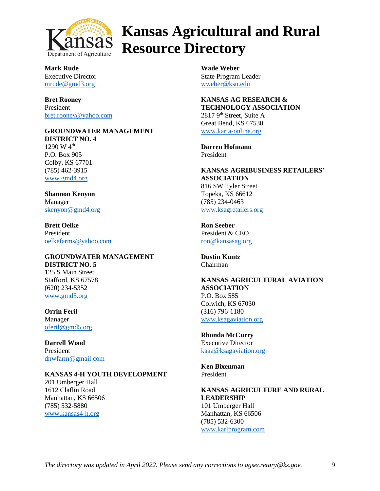

**Mark Rude** Executive Director [mrude@gmd3.org](mailto:mrude@gmd3.org)

**Bret Rooney** President [bret.rooney@yahoo.com](mailto:bret.rooney@yahoo.com)

#### **GROUNDWATER MANAGEMENT DISTRICT NO. 4**

1290 W 4th P.O. Box 905 Colby, KS 67701 (785) 462-3915 www.gmd4.org

**Shannon Kenyon** Manager [skenyon@gmd4.org](mailto:skenyon@gmd4.org)

**Brett Oelke** President [oelkefarms@yahoo.com](mailto:oelkefarms@yahoo.com)

**GROUNDWATER MANAGEMENT DISTRICT NO. 5** 125 S Main Street Stafford, KS 67578 (620) 234-5352 [www.gmd5.org](http://www.gmd5.org/)

**Orrin Feril** Manager [oferil@gmd5.org](mailto:oferil@gmd5.org)

**Darrell Wood** President [dnwfarm@gmail.com](mailto:dnwfarm@gmail.com) 

#### **KANSAS 4-H YOUTH DEVELOPMENT**

201 Umberger Hall 1612 Claflin Road Manhattan, KS 66506 (785) 532-5880 [www.kansas4-h.org](http://www.kansas4-h.org/)

**Wade Weber** State Program Leader [wweber@ksu.edu](mailto:wweber@ksu.edu)

**KANSAS AG RESEARCH & TECHNOLOGY ASSOCIATION**  $28179^{\text{th}}$  Street, Suite A Great Bend, KS 67530 [www.karta-online.org](http://www.karta-online.org/)

**Darren Hofmann** President

**KANSAS AGRIBUSINESS RETAILERS' ASSOCIATION** 816 SW Tyler Street Topeka, KS 66612 (785) 234-0463 [www.ksagretailers.org](http://www.ksagretailers.org/)

**Ron Seeber** President & CEO [ron@kansasag.org](mailto:ron@kansasag.org)

**Dustin Kuntz** Chairman

**KANSAS AGRICULTURAL AVIATION ASSOCIATION** P.O. Box 585 Colwich, KS 67030 (316) 796-1180 [www.ksagaviation.org](http://www.ksagaviation.org/)

**Rhonda McCurry** Executive Director [kaaa@ksagaviation.org](mailto:kaaa@ksagaviation.org)

**Ken Bixenman** President

## **KANSAS AGRICULTURE AND RURAL LEADERSHIP**

101 Umberger Hall Manhattan, KS 66506 (785) 532-6300 [www.karlprogram.com](http://www.karlprogram.com/)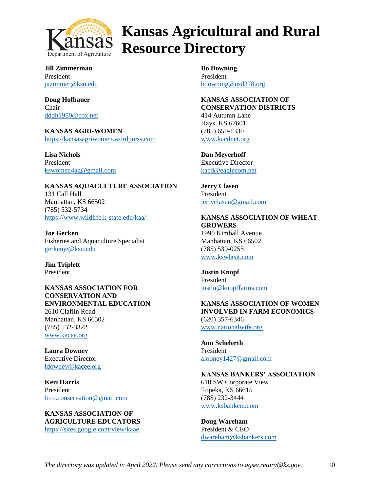

**Jill Zimmerman** President [jazimmer@ksu.edu](mailto:jazimmer@ksu.edu)

**Doug Hofbauer** Chair [dddh1950@cox.net](mailto:dddh1950@cox.net)

**KANSAS AGRI-WOMEN** [https://kansasagriwomen.wordpress.com](https://kansasagriwomen.wordpress.com/)

**Lisa Nichols** President [kswomen4ag@gmail.com](mailto:kswomen4ag@gmail.com)

**KANSAS AQUACULTURE ASSOCIATION** 131 Call Hall Manhattan, KS 66502 (785) 532-5734 <https://www.wildlife.k-state.edu/kaa/>

**Joe Gerken** Fisheries and Aquaculture Specialist [gerkenje@ksu.edu](mailto:gerkenje@ksu.edu)

**Jim Triplett** President

**KANSAS ASSOCIATION FOR CONSERVATION AND ENVIRONMENTAL EDUCATION** 2610 Claflin Road Manhattan, KS 66502 (785) 532-3322 [www.kacee.org](http://www.kacee.org/)

**Laura Downey** Executive Director [ldowney@kacee.org](mailto:ldowney@kacee.org)

**Keri Harris** President [frco.conservation@gmail.com](mailto:frco.conservation@gmail.com)

**KANSAS ASSOCIATION OF AGRICULTURE EDUCATORS** <https://sites.google.com/view/kaae>

**Bo Downing** President [bdowning@usd378.org](mailto:bdowning@usd378.org)

**KANSAS ASSOCIATION OF CONSERVATION DISTRICTS** 414 Autumn Lane Hays, KS 67601 (785) 650-1330 [www.kacdnet.org](http://www.kacdnet.org/)

**Dan Meyerhoff** Executive Director [kacd@eaglecom.net](mailto:kacd@eaglecom.net)

**Jerry Clasen** President [jerryclasen@gmail.com](mailto:jerryclasen@gmail.com)

**KANSAS ASSOCIATION OF WHEAT GROWERS** 1990 Kimball Avenue Manhattan, KS 66502 (785) 539-0255 [www.kswheat.com](http://www.kswheat.com/)

**Justin Knopf** President [justin@knopffarms.com](mailto:justin@knopffarms.com)

**KANSAS ASSOCIATION OF WOMEN INVOLVED IN FARM ECONOMICS** (620) 357-6346 [www.nationalwife.org](http://www.nationalwife.org/)

**Ann Schelerth** President [alooney1427@gmail.com](mailto:alooney1427@gmail.com)

**KANSAS BANKERS' ASSOCIATION** 610 SW Corporate View Topeka, KS 66615 (785) 232-3444 [www.ksbankers.com](http://www.ksbankers.com/)

**Doug Wareham**  President & CEO [dwareham@ksbankers.com](mailto:dwareham@ksbankers.com)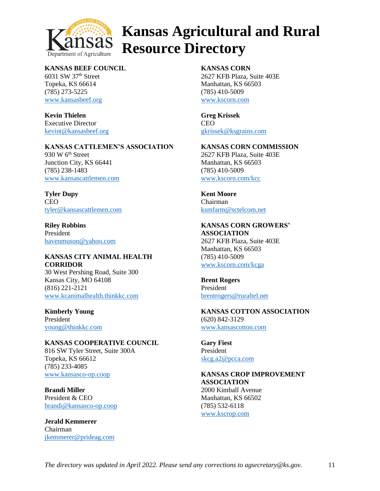

### **KANSAS BEEF COUNCIL**

 $6031$  SW  $37<sup>th</sup>$  Street Topeka, KS 66614 (785) 273-5225 [www.kansasbeef.org](http://www.kansasbeef.org/)

**Kevin Thielen** Executive Director [kevint@kansasbeef.org](mailto:kevint@kansasbeef.org)

#### **KANSAS CATTLEMEN'S ASSOCIATION** 930 W 6<sup>th</sup> Street Junction City, KS 66441 (785) 238-1483 [www.kansascattlemen.com](http://www.kansascattlemen.com/)

**Tyler Dupy** CEO [tyler@kansascattlemen.com](mailto:tyler@kansascattlemen.com)

**Riley Robbins** President [havenmuson@yahoo.com](mailto:havenmuson@yahoo.com)

#### **KANSAS CITY ANIMAL HEALTH CORRIDOR**

30 West Pershing Road, Suite 300 Kansas City, MO 64108 (816) 221-2121 [www.kcanimalhealth.thinkkc.com](http://www.kcanimalhealth.thinkkc.com/)

**Kimberly Young** President [young@thinkkc.com](mailto:young@thinkkc.com)

**KANSAS COOPERATIVE COUNCIL** 816 SW Tyler Street, Suite 300A Topeka, KS 66612 (785) 233-4085 [www.kansasco-op.coop](http://www.kansasco-op.coop/)

**Brandi Miller** President & CEO [brandi@kansasco-op.coop](mailto:brandi@kansasco-op.coop)

**Jerald Kemmerer** Chairman [jkemmerer@prideag.com](mailto:jkemmerer@prideag.com)

### **KANSAS CORN**

2627 KFB Plaza, Suite 403E Manhattan, KS 66503 (785) 410-5009 [www.kscorn.com](http://www.kscorn.com/)

**Greg Krissek** CEO [gkrissek@ksgrains.com](mailto:gkrissek@ksgrains.com)

#### **KANSAS CORN COMMISSION**

2627 KFB Plaza, Suite 403E Manhattan, KS 66503 (785) 410-5009 [www.kscorn.com/kcc](http://www.kscorn.com/kcc)

**Kent Moore** Chairman [ksmfarm@sctelcom.net](mailto:ksmfarm@sctelcom.net)

### **KANSAS CORN GROWERS'**

**ASSOCIATION** 2627 KFB Plaza, Suite 403E Manhattan, KS 66503 (785) 410-5009 [www.kscorn.com/kcga](http://www.kscorn.com/kcga)

**Brent Rogers** President [brentrogers@ruraltel.net](mailto:brentrogers@ruraltel.net)

#### **KANSAS COTTON ASSOCIATION** (620) 842-3129 [www.kansascotton.com](http://www.kansascotton.com/)

**Gary Fiest** President [skcg.a2@pcca.com](mailto:skcg.a2@pcca.com)

#### **KANSAS CROP IMPROVEMENT ASSOCIATION** 2000 Kimball Avenue Manhattan, KS 66502 (785) 532-6118 [www.kscrop.com](http://www.kscrop.com/)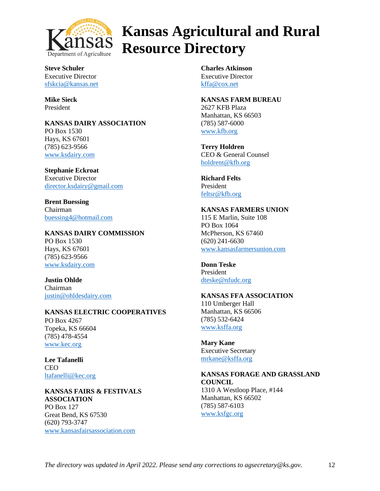

**Steve Schuler** Executive Director [sfskcia@kansas.net](mailto:sfskcia@kansas.net)

**Mike Sieck** President

**KANSAS DAIRY ASSOCIATION** PO Box 1530 Hays, KS 67601 (785) 623-9566 [www.ksdairy.com](http://www.ksdairy.com/)

**Stephanie Eckroat** Executive Director [director.ksdairy@gmail.com](mailto:director.ksdairy@gmail.com)

**Brent Buessing** Chairman [buessing4@hotmail.com](mailto:buessing4@hotmail.com)

**KANSAS DAIRY COMMISSION** PO Box 1530 Hays, KS 67601 (785) 623-9566 [www.ksdairy.com](http://www.ksdairy.com/)

**Justin Ohlde** Chairman [justin@ohldesdairy.com](mailto:justin@ohldesdairy.com)

**KANSAS ELECTRIC COOPERATIVES** PO Box 4267 Topeka, KS 66604 (785) 478-4554 [www.kec.org](http://www.kec.org/)

**Lee Tafanelli** CEO [ltafanelli@kec.org](mailto:ltafanelli@kec.org)

**KANSAS FAIRS & FESTIVALS ASSOCIATION** PO Box 127 Great Bend, KS 67530 (620) 793-3747 [www.kansasfairsassociation.com](http://www.kansasfairsassociation.com/)

**Charles Atkinson** Executive Director [kffa@cox.net](mailto:kffa@cox.net)

**KANSAS FARM BUREAU** 2627 KFB Plaza Manhattan, KS 66503 (785) 587-6000 [www.kfb.org](http://www.kfb.org/)

**Terry Holdren** CEO & General Counsel [holdrent@kfb.org](mailto:holdrent@kfb.org)

**Richard Felts** President [feltsr@kfb.org](mailto:feltsr@kfb.org)

#### **KANSAS FARMERS UNION**

115 E Marlin, Suite 108 PO Box 1064 McPherson, KS 67460 (620) 241-6630 [www.kansasfarmersunion.com](http://www.kansasfarmersunion.com/)

**Donn Teske** President [dteske@nfudc.org](mailto:dteske@nfudc.org)

#### **KANSAS FFA ASSOCIATION**

110 Umberger Hall Manhattan, KS 66506 (785) 532-6424 [www.ksffa.org](http://www.ksffa.org/)

**Mary Kane** Executive Secretary [mrkane@ksffa.org](mailto:mrkane@ksffa.org)

**KANSAS FORAGE AND GRASSLAND COUNCIL** 1310 A Westloop Place, #144 Manhattan, KS 66502 (785) 587-6103 [www.ksfgc.org](http://www.ksfgc.org/)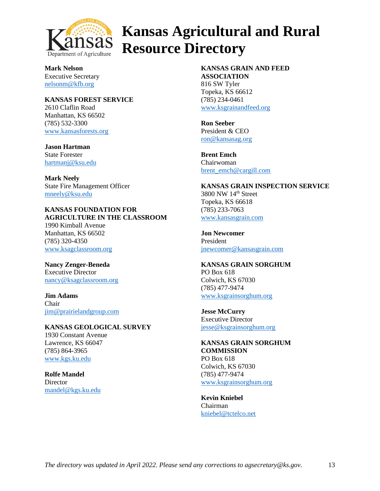

**Mark Nelson** Executive Secretary [nelsonm@kfb.org](mailto:nelsonm@kfb.org)

## **KANSAS FOREST SERVICE**

2610 Claflin Road Manhattan, KS 66502 (785) 532-3300 [www.kansasforests.org](http://www.kansasforests.org/)

**Jason Hartman** State Forester [hartmanj@ksu.edu](mailto:hartmanj@ksu.edu)

**Mark Neely** State Fire Management Officer [mneely@ksu.edu](mailto:mneely@ksu.edu)

### **KANSAS FOUNDATION FOR AGRICULTURE IN THE CLASSROOM**

1990 Kimball Avenue Manhattan, KS 66502 (785) 320-4350 [www.ksagclassroom.org](http://www.ksagclassroom.org/)

#### **Nancy Zenger-Beneda**

Executive Director [nancy@ksagclassroom.org](mailto:nancy@ksagclassroom.org)

**Jim Adams** Chair [jim@prairielandgroup.com](mailto:jim@prairielandgroup.com)

## **KANSAS GEOLOGICAL SURVEY**

1930 Constant Avenue Lawrence, KS 66047 (785) 864-3965 [www.kgs.ku.edu](http://www.kgs.ku.edu/)

**Rolfe Mandel Director** [mandel@kgs.ku.edu](mailto:mandel@kgs.ku.edu)

#### **KANSAS GRAIN AND FEED ASSOCIATION** 816 SW Tyler Topeka, KS 66612 (785) 234-0461 [www.ksgrainandfeed.org](http://www.ksgrainandfeed.org/)

**Ron Seeber** President & CEO [ron@kansasag.org](mailto:ron@kansasag.org)

**Brent Emch** Chairwoman [brent\\_emch@cargill.com](mailto:brent_emch@cargill.com)

### **KANSAS GRAIN INSPECTION SERVICE**

3800 NW 14th Street Topeka, KS 66618 (785) 233-7063 [www.kansasgrain.com](http://www.kansasgrain.com/)

**Jon Newcomer** President [jnewcomer@kansasgrain.com](mailto:jnewcomer@kansasgrain.com)

## **KANSAS GRAIN SORGHUM**

PO Box 618 Colwich, KS 67030 (785) 477-9474 [www.ksgrainsorghum.org](http://www.ksgrainsorghum.org/)

# **Jesse McCurry**

Executive Director [jesse@ksgrainsorghum.org](mailto:jesse@ksgrainsorghum.org)

## **KANSAS GRAIN SORGHUM COMMISSION**

PO Box 618 Colwich, KS 67030 (785) 477-9474 [www.ksgrainsorghum.org](http://www.ksgrainsorghum.org/)

**Kevin Kniebel** Chairman [kniebel@tctelco.net](mailto:kniebel@tctelco.net)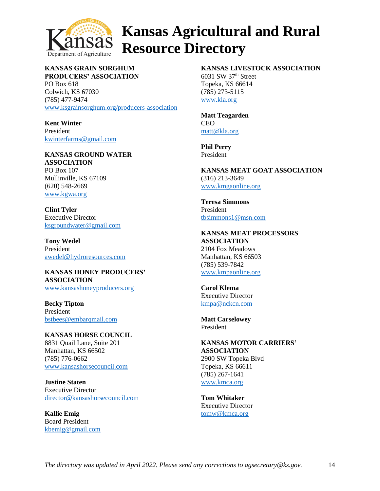

### **KANSAS GRAIN SORGHUM PRODUCERS' ASSOCIATION**

PO Box 618 Colwich, KS 67030 (785) 477-9474 [www.ksgrainsorghum.org/producers-association](http://www.ksgrainsorghum.org/producers-association)

**Kent Winter** President [kwinterfarms@gmail.com](mailto:kwinterfarms@gmail.com)

# **KANSAS GROUND WATER**

**ASSOCIATION** PO Box 107 Mullinville, KS 67109 (620) 548-2669 [www.kgwa.org](http://www.kgwa.org/)

**Clint Tyler** Executive Director [ksgroundwater@gmail.com](mailto:ksgroundwater@gmail.com)

**Tony Wedel** President [awedel@hydroresources.com](mailto:awedel@hydroresources.com)

#### **KANSAS HONEY PRODUCERS' ASSOCIATION** [www.kansashoneyproducers.org](http://www.kansashoneyproducers.org/)

**Becky Tipton** President [bstbees@embarqmail.com](mailto:bstbees@embarqmail.com)

**KANSAS HORSE COUNCIL** 8831 Quail Lane, Suite 201 Manhattan, KS 66502 (785) 776-0662 [www.kansashorsecouncil.com](http://www.kansashorsecouncil.com/)

**Justine Staten** Executive Director [director@kansashorsecouncil.com](mailto:director@kansashorsecouncil.com)

**Kallie Emig** Board President [kbemig@gmail.com](mailto:thomasjc68@gmail.com)

## **KANSAS LIVESTOCK ASSOCIATION**

 $6031$  SW  $37<sup>th</sup>$  Street Topeka, KS 66614 (785) 273-5115 [www.kla.org](http://www.kla.org/)

**Matt Teagarden CEO** [matt@kla.org](mailto:matt@kla.org)

#### **Phil Perry** President

**KANSAS MEAT GOAT ASSOCIATION** (316) 213-3649 [www.kmgaonline.org](http://www.kmgaonline.org/)

**Teresa Simmons** President [tbsimmons1@msn.com](mailto:tbsimmons1@msn.com)

#### **KANSAS MEAT PROCESSORS ASSOCIATION** 2104 Fox Meadows Manhattan, KS 66503 (785) 539-7842 [www.kmpaonline.org](http://www.kmpaonline.org/)

**Carol Klema** Executive Director [kmpa@nckcn.com](mailto:kmpa@sbcglobal.net)

**Matt Carselowey** President

**KANSAS MOTOR CARRIERS' ASSOCIATION** 2900 SW Topeka Blvd Topeka, KS 66611 (785) 267-1641 [www.kmca.org](http://www.kmca.org/)

**Tom Whitaker** Executive Director [tomw@kmca.org](mailto:tomw@kmca.org)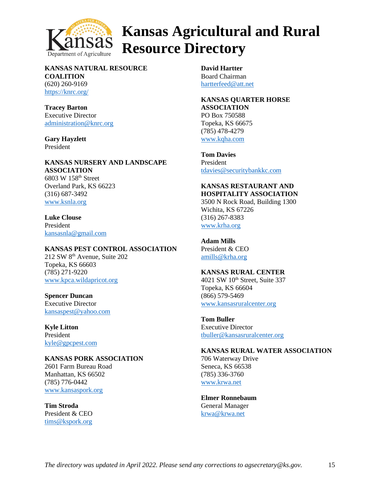

## **KANSAS NATURAL RESOURCE COALITION**

(620) 260-9169 <https://knrc.org/>

**Tracey Barton** Executive Director [administration@knrc.org](mailto:administration@knrc.org)

**Gary Hayzlett** President

#### **KANSAS NURSERY AND LANDSCAPE ASSOCIATION** 6803 W 158th Street Overland Park, KS 66223 (316) 687-3492

[www.ksnla.org](http://www.ksnla.org/)

#### **Luke Clouse**

President [kansasnla@gmail.com](mailto:kansasnla@gmail.com)

#### **KANSAS PEST CONTROL ASSOCIATION**

212 SW 8th Avenue, Suite 202 Topeka, KS 66603 (785) 271-9220 [www.kpca.wildapricot.org](http://www.kpca.wildapricot.org/)

#### **Spencer Duncan** Executive Director

[kansaspest@yahoo.com](mailto:kansaspest@yahoo.com)

**Kyle Litton** President [kyle@gpcpest.com](mailto:kyle@gpcpest.com)

#### **KANSAS PORK ASSOCIATION** 2601 Farm Bureau Road Manhattan, KS 66502 (785) 776-0442 [www.kansaspork.org](http://www.kansaspork.org/)

**Tim Stroda** President & CEO [tims@kspork.org](mailto:tims@kspork.org) **David Hartter** Board Chairman [hartterfeed@att.net](mailto:hartterfeed@att.net)

#### **KANSAS QUARTER HORSE ASSOCIATION** PO Box 750588 Topeka, KS 66675 (785) 478-4279 [www.kqha.com](http://www.kqha.com/)

**Tom Davies** President [tdavies@securitybankkc.com](mailto:tdavies@securitybankkc.com)

#### **KANSAS RESTAURANT AND HOSPITALITY ASSOCIATION**

3500 N Rock Road, Building 1300 Wichita, KS 67226 (316) 267-8383 [www.krha.org](http://www.krha.org/)

### **Adam Mills**

President & CEO [amills@krha.org](mailto:amills@krha.org)

#### **KANSAS RURAL CENTER**

4021 SW 10<sup>th</sup> Street, Suite 337 Topeka, KS 66604 (866) 579-5469 [www.kansasruralcenter.org](http://www.kansasruralcenter.org/)

#### **Tom Buller**

Executive Director [tbuller@kansasruralcenter.org](mailto:tbuller@kansasruralcenter.org)

#### **KANSAS RURAL WATER ASSOCIATION**

706 Waterway Drive Seneca, KS 66538 (785) 336-3760 [www.krwa.net](http://www.krwa.net/)

#### **Elmer Ronnebaum** General Manager [krwa@krwa.net](mailto:krwa@krwa.net)

*The directory was updated in April 2022. Please send any corrections to agsecretary@ks.gov.* 15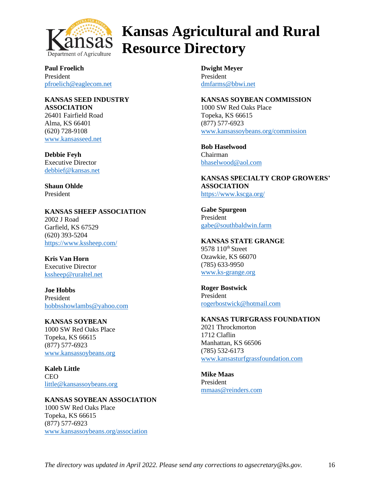

**Paul Froelich** President [pfroelich@eaglecom.net](mailto:pfroelich@eaglecom.net)

#### **KANSAS SEED INDUSTRY ASSOCIATION** 26401 Fairfield Road Alma, KS 66401

(620) 728-9108 [www.kansasseed.net](http://www.kansasseed.net/)

**Debbie Feyh** Executive Director [debbief@kansas.net](mailto:debbief@kansas.net)

**Shaun Ohlde** President

**KANSAS SHEEP ASSOCIATION** 2002 J Road Garfield, KS 67529 (620) 393-5204 <https://www.kssheep.com/>

**Kris Van Horn** Executive Director [kssheep@ruraltel.net](mailto:kssheep@ruraltel.net)

**Joe Hobbs** President [hobbsshowlambs@yahoo.com](mailto:hobbsshowlambs@yahoo.com)

## **KANSAS SOYBEAN**

1000 SW Red Oaks Place Topeka, KS 66615 (877) 577-6923 [www.kansassoybeans.org](http://www.kansassoybeans.org/)

**Kaleb Little** CEO [little@kansassoybeans.org](mailto:little@kansassoybeans.org)

**KANSAS SOYBEAN ASSOCIATION** 1000 SW Red Oaks Place Topeka, KS 66615 (877) 577-6923 [www.kansassoybeans.org/association](http://www.kansassoybeans.org/association)

**Dwight Meyer** President [dmfarms@bbwi.net](mailto:dmfarms@bbwi.net)

**KANSAS SOYBEAN COMMISSION** 1000 SW Red Oaks Place Topeka, KS 66615 (877) 577-6923 [www.kansassoybeans.org/commission](http://www.kansassoybeans.org/commission)

**Bob Haselwood** Chairman [bhaselwood@aol.com](mailto:bhaselwood@aol.com)

**KANSAS SPECIALTY CROP GROWERS' ASSOCIATION** <https://www.kscga.org/>

**Gabe Spurgeon** President [gabe@southbaldwin.farm](mailto:gabe@southbaldwin.farm)

#### **KANSAS STATE GRANGE**

9578 110<sup>th</sup> Street Ozawkie, KS 66070 (785) 633-9950 [www.ks-grange.org](http://www.ks-grange.org/)

**Roger Bostwick** President [rogerbostwick@hotmail.com](mailto:rogerbostwick@hotmail.com)

#### **KANSAS TURFGRASS FOUNDATION**

2021 Throckmorton 1712 Claflin Manhattan, KS 66506 (785) 532-6173 [www.kansasturfgrassfoundation.com](http://www.kansasturfgrassfoundation.com/)

**Mike Maas** President [mmaas@reinders.com](mailto:mmaas@reinders.com)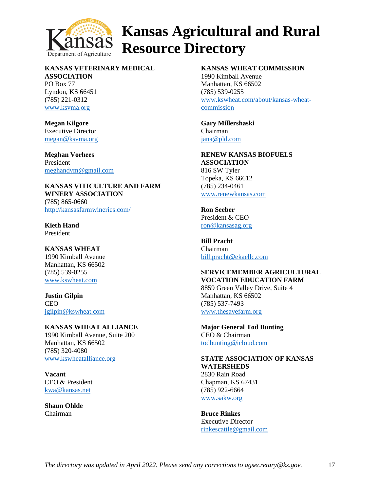

#### **KANSAS VETERINARY MEDICAL ASSOCIATION**

PO Box 77 Lyndon, KS 66451 (785) 221-0312 [www.ksvma.org](http://www.ksvma.org/)

**Megan Kilgore** Executive Director [megan@ksvma.org](mailto:megan@ksvma.org)

**Meghan Vorhees** President [meghandvm@gmail.com](mailto:meghandvm@gmail.com)

**KANSAS VITICULTURE AND FARM WINERY ASSOCIATION** (785) 865-0660 <http://kansasfarmwineries.com/>

**Kieth Hand** President

### **KANSAS WHEAT**

1990 Kimball Avenue Manhattan, KS 66502 (785) 539-0255 [www.kswheat.com](http://www.kswheat.com/)

**Justin Gilpin** CEO [jgilpin@kswheat.com](mailto:jgilpin@kswheat.com)

#### **KANSAS WHEAT ALLIANCE**

1990 Kimball Avenue, Suite 200 Manhattan, KS 66502 (785) 320-4080 [www.kswheatalliance.org](http://www.kswheatalliance.org/)

**Vacant** CEO & President [kwa@kansas.net](mailto:kwa@kansas.net)

**Shaun Ohlde** Chairman

### **KANSAS WHEAT COMMISSION**

1990 Kimball Avenue Manhattan, KS 66502 (785) 539-0255 [www.kswheat.com/about/kansas-wheat](http://www.kswheat.com/about/kansas-wheat-commission)[commission](http://www.kswheat.com/about/kansas-wheat-commission)

**Gary Millershaski** Chairman [jana@pld.com](mailto:jana@pld.com)

**RENEW KANSAS BIOFUELS ASSOCIATION**

816 SW Tyler Topeka, KS 66612 (785) 234-0461 [www.renewkansas.com](http://www.renewkansas.com/)

**Ron Seeber** President & CEO [ron@kansasag.org](mailto:ron@kansasag.org)

**Bill Pracht**

Chairman [bill.pracht@ekaellc.com](mailto:bill.pracht@ekaellc.com)

#### **SERVICEMEMBER AGRICULTURAL VOCATION EDUCATION FARM**

8859 Green Valley Drive, Suite 4 Manhattan, KS 66502 (785) 537-7493 [www.thesavefarm.org](http://www.thesavefarm.org/)

**Major General Tod Bunting** CEO & Chairman [todbunting@icloud.com](mailto:todbunting@icloud.com)

**STATE ASSOCIATION OF KANSAS WATERSHEDS** 2830 Rain Road Chapman, KS 67431 (785) 922-6664 [www.sakw.org](http://www.sakw.org/)

**Bruce Rinkes** Executive Director [rinkescattle@gmail.com](mailto:rinkescattle@gmail.com)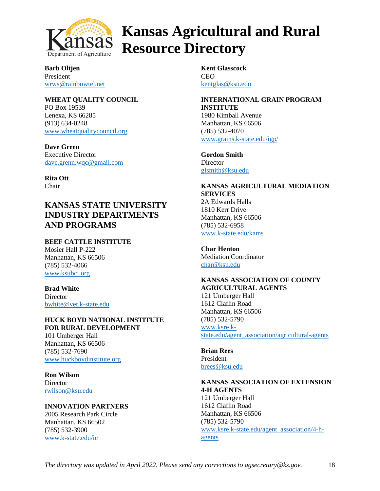

**Barb Oltjen** President [wrws@rainbowtel.net](mailto:wrws@rainbowtel.net)

**WHEAT QUALITY COUNCIL** PO Box 19539 Lenexa, KS 66285 (913) 634-0248 [www.wheatqualitycouncil.org](http://www.wheatqualitycouncil.org/)

**Dave Green** Executive Director [dave.grenn.wqc@gmail.com](mailto:dave.grenn.wqc@gmail.com)

**Rita Ott** Chair

# **KANSAS STATE UNIVERSITY INDUSTRY DEPARTMENTS AND PROGRAMS**

### **BEEF CATTLE INSTITUTE**

Mosier Hall P-222 Manhattan, KS 66506 (785) 532-4066 [www.ksubci.org](http://www.ksubci.org/)

# **Brad White**

**Director** [bwhite@vet.k-state.edu](mailto:bwhite@vet.k-state.edu)

#### **HUCK BOYD NATIONAL INSTITUTE FOR RURAL DEVELOPMENT**

101 Umberger Hall Manhattan, KS 66506 (785) 532-7690 [www.huckboydinstitute.org](http://www.huckboydinstitute.org/)

## **Ron Wilson**

**Director** [rwilson@ksu.edu](mailto:rwilson@ksu.edu)

### **INNOVATION PARTNERS**

2005 Research Park Circle Manhattan, KS 66502 (785) 532-3900 [www.k-state.edu/ic](http://www.k-state.edu/ic)

**Kent Glasscock CEO** [kentglas@ksu.edu](mailto:kentglas@ksu.edu)

**INTERNATIONAL GRAIN PROGRAM INSTITUTE** 1980 Kimball Avenue Manhattan, KS 66506 (785) 532-4070 [www.grains.k-state.edu/igp/](http://www.grains.k-state.edu/igp/)

**Gordon Smith Director** [glsmith@ksu.edu](mailto:glsmith@ksu.edu)

#### **KANSAS AGRICULTURAL MEDIATION SERVICES** 2A Edwards Halls

1810 Kerr Drive Manhattan, KS 66506 (785) 532-6958 [www.k-state.edu/kams](http://www.k-state.edu/kams)

**Char Henton** Mediation Coordinator [char@ksu.edu](mailto:char@ksu.edu)

#### **KANSAS ASSOCIATION OF COUNTY AGRICULTURAL AGENTS**

121 Umberger Hall 1612 Claflin Road Manhattan, KS 66506 (785) 532-5790 [www.ksre.k](http://www.ksre.k-state.edu/agent_association/agricultural-agents)[state.edu/agent\\_association/agricultural-agents](http://www.ksre.k-state.edu/agent_association/agricultural-agents)

**Brian Rees** President [brees@ksu.edu](mailto:brees@ksu.edu)

#### **KANSAS ASSOCIATION OF EXTENSION 4-H AGENTS** 121 Umberger Hall

1612 Claflin Road Manhattan, KS 66506 (785) 532-5790 [www.ksre.k-state.edu/agent\\_association/4-h](http://www.ksre.k-state.edu/agent_association/4-h-agents)[agents](http://www.ksre.k-state.edu/agent_association/4-h-agents)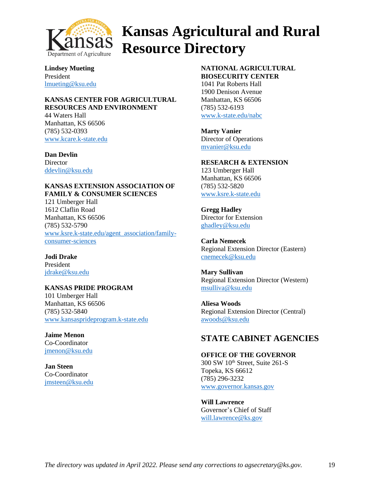

**Lindsey Mueting** President [lmueting@ksu.edu](mailto:lmueting@ksu.edu)

#### **KANSAS CENTER FOR AGRICULTURAL RESOURCES AND ENVIRONMENT**

44 Waters Hall Manhattan, KS 66506 (785) 532-0393 [www.kcare.k-state.edu](http://www.kcare.k-state.edu/)

**Dan Devlin Director** [ddevlin@ksu.edu](mailto:ddevlin@ksu.edu)

## **KANSAS EXTENSION ASSOCIATION OF FAMILY & CONSUMER SCIENCES**

121 Umberger Hall 1612 Claflin Road Manhattan, KS 66506 (785) 532-5790 [www.ksre.k-state.edu/agent\\_association/family](http://www.ksre.k-state.edu/agent_association/family-consumer-sciences)[consumer-sciences](http://www.ksre.k-state.edu/agent_association/family-consumer-sciences)

**Jodi Drake** President [jdrake@ksu.edu](mailto:jdrake@ksu.edu)

### **KANSAS PRIDE PROGRAM**

101 Umberger Hall Manhattan, KS 66506 (785) 532-5840 [www.kansasprideprogram.k-state.edu](http://www.kansasprideprogram.k-state.edu/)

# **Jaime Menon**

Co-Coordinator [jmenon@ksu.edu](mailto:jmenon@ksu.edu)

**Jan Steen** Co-Coordinator [jmsteen@ksu.edu](mailto:jmsteen@ksu.edu)

### **NATIONAL AGRICULTURAL BIOSECURITY CENTER**

1041 Pat Roberts Hall 1900 Denison Avenue Manhattan, KS 66506 (785) 532-6193 [www.k-state.edu/nabc](http://www.k-state.edu/nabc)

**Marty Vanier** Director of Operations [mvanier@ksu.edu](mailto:mvanier@ksu.edu)

#### **RESEARCH & EXTENSION**

123 Umberger Hall Manhattan, KS 66506 (785) 532-5820 [www.ksre.k-state.edu](http://www.ksre.k-state.edu/)

**Gregg Hadley** Director for Extension [ghadley@ksu.edu](mailto:ghadley@ksu.edu)

**Carla Nemecek** Regional Extension Director (Eastern) [cnemecek@ksu.edu](mailto:cnemecek@ksu.edu)

**Mary Sullivan** Regional Extension Director (Western) [msulliva@ksu.edu](mailto:msulliva@ksu.edu)

**Aliesa Woods** Regional Extension Director (Central) [awoods@ksu.edu](mailto:awoods@ksu.edu)

# **STATE CABINET AGENCIES**

#### **OFFICE OF THE GOVERNOR**

300 SW 10<sup>th</sup> Street, Suite 261-S Topeka, KS 66612 (785) 296-3232 [www.governor.kansas.gov](http://www.governor.kansas.gov/)

#### **Will Lawrence**

Governor's Chief of Staff [will.lawrence@ks.gov](mailto:will.lawrence@ks.gov)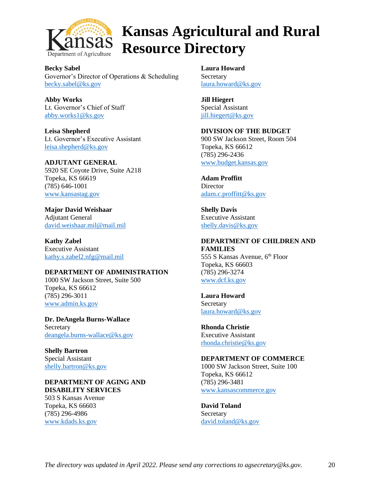

**Becky Sabel** Governor's Director of Operations & Scheduling [becky.sabel@ks.gov](mailto:becky.sabel@ks.gov)

**Abby Works** Lt. Governor's Chief of Staff [abby.works1@ks.gov](mailto:abby.works1@ks.gov)

**Leisa Shepherd** Lt. Governor's Executive Assistant [leisa.shepherd@ks.gov](mailto:leisa.shepherd@ks.gov)

**ADJUTANT GENERAL** 5920 SE Coyote Drive, Suite A218 Topeka, KS 66619 (785) 646-1001 www.kansastag.gov

**Major David Weishaar** Adjutant General [david.weishaar.mil@mail.mil](mailto:david.weishaar.mil@mail.mil)

**Kathy Zabel** Executive Assistant [kathy.s.zabel2.nfg@mail.mil](mailto:kathy.s.zabel2.nfg@mail.mil)

#### **DEPARTMENT OF ADMINISTRATION**

1000 SW Jackson Street, Suite 500 Topeka, KS 66612 (785) 296-3011 [www.admin.ks.gov](http://www.admin.ks.gov/)

**Dr. DeAngela Burns-Wallace** Secretary [deangela.burns-wallace@ks.gov](mailto:deangela.burns-wallace@ks.gov)

**Shelly Bartron** Special Assistant [shelly.bartron@ks.gov](mailto:shelly.bartron@ks.gov)

#### **DEPARTMENT OF AGING AND DISABILITY SERVICES**

503 S Kansas Avenue Topeka, KS 66603 (785) 296-4986 [www.kdads.ks.gov](http://www.kdads.ks.gov/)

**Laura Howard Secretary** [laura.howard@ks.gov](mailto:laura.howard@ks.gov)

**Jill Hiegert** Special Assistant [jill.hiegert@ks.gov](mailto:michelle.miller@ks.gov)

#### **DIVISION OF THE BUDGET**

900 SW Jackson Street, Room 504 Topeka, KS 66612 (785) 296-2436 [www.budget.kansas.gov](http://www.budget.kansas.gov/)

**Adam Proffitt Director** [adam.c.proffitt@ks.gov](mailto:adam.c.proffitt@ks.gov)

**Shelly Davis** Executive Assistant [shelly.davis@ks.gov](mailto:shelly.davis@ks.gov)

## **DEPARTMENT OF CHILDREN AND FAMILIES** 555 S Kansas Avenue, 6<sup>th</sup> Floor

Topeka, KS 66603 (785) 296-3274 [www.dcf.ks.gov](http://www.dcf.ks.gov/)

**Laura Howard Secretary** [laura.howard@ks.gov](mailto:laura.howard@ks.gov)

**Rhonda Christie** Executive Assistant [rhonda.christie@ks.gov](mailto:pattie.cazier@ks.gov)

#### **DEPARTMENT OF COMMERCE**

1000 SW Jackson Street, Suite 100 Topeka, KS 66612 (785) 296-3481 [www.kansascommerce.gov](http://www.kansascommerce.gov/)

**David Toland Secretary** [david.toland@ks.gov](mailto:david.toland@ks.gov)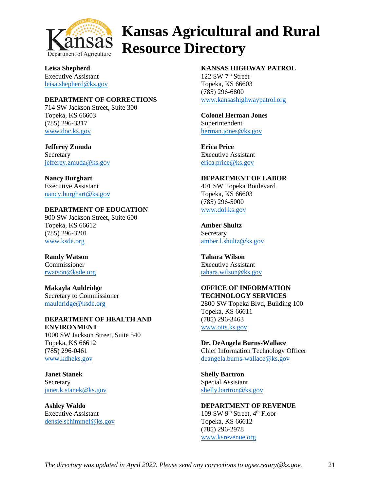

**Leisa Shepherd** Executive Assistant [leisa.shepherd@ks.gov](mailto:leisa.shepherd@ks.gov)

#### **DEPARTMENT OF CORRECTIONS**

714 SW Jackson Street, Suite 300 Topeka, KS 66603 (785) 296-3317 [www.doc.ks.gov](http://www.doc.ks.gov/)

**Jefferey Zmuda** Secretary [jefferey.zmuda@ks.gov](mailto:roger.werholtz@ks.gov)

**Nancy Burghart** Executive Assistant [nancy.burghart@ks.gov](mailto:hope.burns@ks.gov)

#### **DEPARTMENT OF EDUCATION** 900 SW Jackson Street, Suite 600

Topeka, KS 66612 (785) 296-3201 [www.ksde.org](http://www.ksde.org/)

**Randy Watson** Commissioner [rwatson@ksde.org](mailto:rwatson@ksde.org)

**Makayla Auldridge** Secretary to Commissioner [mauldridge@ksde.org](mailto:mauldridge@ksde.org)

## **DEPARTMENT OF HEALTH AND ENVIRONMENT**

1000 SW Jackson Street, Suite 540 Topeka, KS 66612 (785) 296-0461 [www.kdheks.gov](http://www.kdheks.gov/)

**Janet Stanek Secretary** [janet.k.stanek@ks.gov](mailto:janet.k.stanek@ks.gov)

**Ashley Waldo** Executive Assistant [densie.schimmel@ks.gov](mailto:densie.schimmel@ks.gov)

### **KANSAS HIGHWAY PATROL**

122 SW 7<sup>th</sup> Street Topeka, KS 66603 (785) 296-6800 [www.kansashighwaypatrol.org](http://www.kansashighwaypatrol.org/)

**Colonel Herman Jones** Superintendent herman.jones@ks.gov

**Erica Price** Executive Assistant [erica.price@ks.gov](mailto:april.mccollum@ks.gov)

#### **DEPARTMENT OF LABOR**

401 SW Topeka Boulevard Topeka, KS 66603 (785) 296-5000 [www.dol.ks.gov](http://www.dol.ks.gov/)

**Amber Shultz Secretary** [amber.l.shultz@ks.gov](mailto:amber.l.shultz@ks.gov)

**Tahara Wilson** Executive Assistant [tahara.wilson@ks.gov](mailto:tahara.wilson@ks.gov)

#### **OFFICE OF INFORMATION TECHNOLOGY SERVICES**

2800 SW Topeka Blvd, Building 100 Topeka, KS 66611 (785) 296-3463 [www.oits.ks.gov](http://www.oits.ks.gov/)

**Dr. DeAngela Burns-Wallace** Chief Information Technology Officer [deangela.burns-wallace@ks.gov](mailto:deangela.burns-wallace@ks.gov)

**Shelly Bartron** Special Assistant [shelly.bartron@ks.gov](mailto:shelly.bartron@ks.gov)

#### **DEPARTMENT OF REVENUE**

109 SW 9th Street, 4th Floor Topeka, KS 66612 (785) 296-2978 [www.ksrevenue.org](http://www.ksrevenue.org/)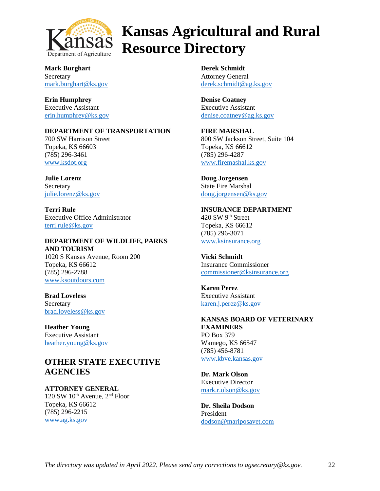

**Mark Burghart Secretary** [mark.burghart@ks.gov](mailto:mark.burghart@ks.gov)

**Erin Humphrey** Executive Assistant [erin.humphrey@ks.gov](mailto:erin.humphrey@ks.gov)

#### **DEPARTMENT OF TRANSPORTATION**

700 SW Harrison Street Topeka, KS 66603 (785) 296-3461 [www.ksdot.org](http://www.ksdot.org/)

**Julie Lorenz** Secretary [julie.lorenz@ks.gov](mailto:julie.lorenz@ks.gov)

**Terri Rule** Executive Office Administrator [terri.rule@ks.gov](mailto:terri.rule@ks.gov)

#### **DEPARTMENT OF WILDLIFE, PARKS AND TOURISM** 1020 S Kansas Avenue, Room 200 Topeka, KS 66612

(785) 296-2788 [www.ksoutdoors.com](http://www.ksoutdoors.com/)

**Brad Loveless** Secretary [brad.loveless@ks.gov](mailto:brad.loveless@ks.gov)

**Heather Young** Executive Assistant [heather.young@ks.gov](mailto:heather.young@ks.gov)

## **OTHER STATE EXECUTIVE AGENCIES**

**ATTORNEY GENERAL** 120 SW  $10^{th}$  Avenue,  $2^{nd}$  Floor Topeka, KS 66612 (785) 296-2215 [www.ag.ks.gov](http://www.ag.ks.gov/)

**Derek Schmidt** Attorney General [derek.schmidt@ag.ks.gov](mailto:derek.schmidt@ag.ks.gov)

**Denise Coatney** Executive Assistant [denise.coatney@ag.ks.gov](mailto:denise.coatney@ag.ks.gov)

**FIRE MARSHAL** 800 SW Jackson Street, Suite 104 Topeka, KS 66612 (785) 296-4287 [www.firemashal.ks.gov](http://www.firemashal.ks.gov/)

**Doug Jorgensen** State Fire Marshal [doug.jorgensen@ks.gov](mailto:doug.jorgensen@ks.gov)

**INSURANCE DEPARTMENT** 420 SW 9th Street Topeka, KS 66612 (785) 296-3071 [www.ksinsurance.org](http://www.ksinsurance.org/)

**Vicki Schmidt** Insurance Commissioner commissioner@ksinsurance.org

**Karen Perez** Executive Assistant [karen.j.perez@ks.gov](mailto:lkennett@ksinsurance.org)

#### **KANSAS BOARD OF VETERINARY EXAMINERS** PO Box 379

Wamego, KS 66547 (785) 456-8781 [www.kbve.kansas.gov](http://www.kbve.kansas.gov/)

**Dr. Mark Olson** Executive Director [mark.r.olson@ks.gov](mailto:mark.r.olson@ks.gov)

**Dr. Sheila Dodson** President [dodson@mariposavet.com](mailto:dodson@mariposavet.com)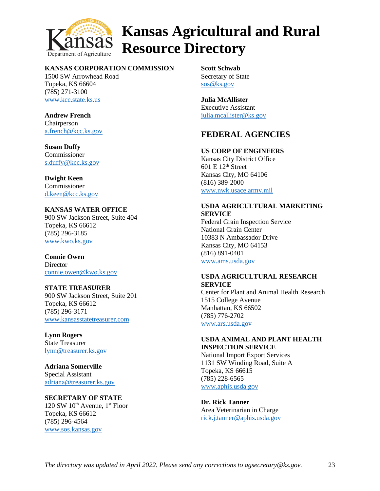

### **KANSAS CORPORATION COMMISSION**

1500 SW Arrowhead Road Topeka, KS 66604 (785) 271-3100 [www.kcc.state.ks.us](http://www.kcc.state.ks.us/)

**Andrew French** Chairperson [a.french@kcc.ks.gov](mailto:a.french@kcc.ks.gov)

**Susan Duffy** Commissioner [s.duffy@kcc.ks.gov](mailto:s.duffy@kcc.ks.gov)

**Dwight Keen** Commissioner [d.keen@kcc.ks.gov](mailto:d.keen@kcc.ks.gov)

### **KANSAS WATER OFFICE**

900 SW Jackson Street, Suite 404 Topeka, KS 66612 (785) 296-3185 [www.kwo.ks.gov](http://www.kwo.ks.gov/)

**Connie Owen Director** [connie.owen@kwo.ks.gov](mailto:earl.lewis@kwo.ks.gov)

**STATE TREASURER** 900 SW Jackson Street, Suite 201 Topeka, KS 66612 (785) 296-3171 [www.kansasstatetreasurer.com](http://www.kansasstatetreasurer.com/)

**Lynn Rogers** State Treasurer [lynn@treasurer.ks.gov](mailto:lynn@treasurer.ks.gov)

**Adriana Somerville** Special Assistant [adriana@treasurer.ks.gov](mailto:adriana@treasurer.ks.gov)

**SECRETARY OF STATE** 120 SW  $10^{th}$  Avenue,  $1^{st}$  Floor Topeka, KS 66612 (785) 296-4564 [www.sos.kansas.gov](http://www.sos.kansas.gov/)

**Scott Schwab** Secretary of State [sos@ks.gov](mailto:sos@ks.gov)

**Julia McAllister** Executive Assistant [julia.mcallister@ks.gov](mailto:lydia.meiss2@ks.gov)

# **FEDERAL AGENCIES**

#### **US CORP OF ENGINEERS**

Kansas City District Office  $601 \text{ E } 12^{\text{th}}$  Street Kansas City, MO 64106 (816) 389-2000 [www.nwk.usace.army.mil](http://www.nwk.usace.army.mil/)

#### **USDA AGRICULTURAL MARKETING SERVICE**

Federal Grain Inspection Service National Grain Center 10383 N Ambassador Drive Kansas City, MO 64153 (816) 891-0401 [www.ams.usda.gov](http://www.ams.usda.gov/)

#### **USDA AGRICULTURAL RESEARCH SERVICE**

Center for Plant and Animal Health Research 1515 College Avenue Manhattan, KS 66502 (785) 776-2702 [www.ars.usda.gov](http://www.ars.usda.gov/)

#### **USDA ANIMAL AND PLANT HEALTH INSPECTION SERVICE**

National Import Export Services 1131 SW Winding Road, Suite A Topeka, KS 66615 (785) 228-6565 [www.aphis.usda.gov](http://www.aphis.usda.gov/)

**Dr. Rick Tanner** Area Veterinarian in Charge [rick.j.tanner@aphis.usda.gov](mailto:rick.j.tanner@aphis.usda.gov)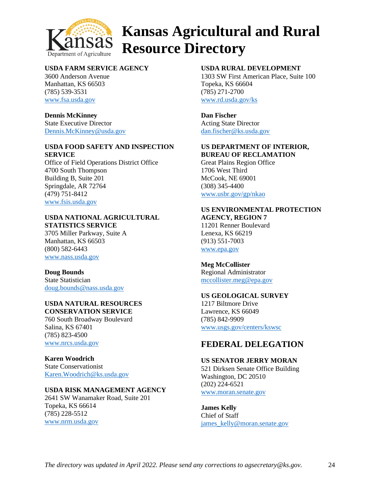

### **USDA FARM SERVICE AGENCY**

3600 Anderson Avenue Manhattan, KS 66503 (785) 539-3531 [www.fsa.usda.gov](http://www.fsa.usda.gov/)

**Dennis McKinney** State Executive Director [Dennis.McKinney@usda.gov](mailto:Dennis.McKinney@usda.gov)

#### **USDA FOOD SAFETY AND INSPECTION SERVICE**

Office of Field Operations District Office 4700 South Thompson Building B, Suite 201 Springdale, AR 72764 (479) 751-8412 [www.fsis.usda.gov](http://www.fsis.usda.gov/)

#### **USDA NATIONAL AGRICULTURAL STATISTICS SERVICE**

3705 Miller Parkway, Suite A Manhattan, KS 66503 (800) 582-6443 [www.nass.usda.gov](http://www.nass.usda.gov/)

#### **Doug Bounds**

State Statistician [doug.bounds@nass.usda.gov](mailto:doug.bounds@nass.usda.gov)

#### **USDA NATURAL RESOURCES CONSERVATION SERVICE**

760 South Broadway Boulevard Salina, KS 67401 (785) 823-4500 [www.nrcs.usda.gov](http://www.nrcs.usda.gov/)

#### **Karen Woodrich**

State Conservationist Karen.Woodrich@ks.usda.gov

### **USDA RISK MANAGEMENT AGENCY**

2641 SW Wanamaker Road, Suite 201 Topeka, KS 66614 (785) 228-5512 [www.nrm.usda.gov](http://www.nrm.usda.gov/)

#### **USDA RURAL DEVELOPMENT**

1303 SW First American Place, Suite 100 Topeka, KS 66604 (785) 271-2700 [www.rd.usda.gov/ks](http://www.rd.usda.gov/ks)

**Dan Fischer** Acting State Director [dan.fischer@ks.usda.gov](mailto:dan.fischer@ks.usda.gov)

### **US DEPARTMENT OF INTERIOR, BUREAU OF RECLAMATION**

Great Plains Region Office 1706 West Third McCook, NE 69001 (308) 345-4400 [www.usbr.gov/gp/nkao](http://www.usbr.gov/gp/nkao)

#### **US ENVIRONMENTAL PROTECTION AGENCY, REGION 7**

11201 Renner Boulevard Lenexa, KS 66219 (913) 551-7003 [www.epa.gov](http://www.epa.gov/)

### **Meg McCollister**

Regional Administrator [mccollister.meg@epa.gov](mailto:mccollister.meg@epa.gov)

#### **US GEOLOGICAL SURVEY**

1217 Biltmore Drive Lawrence, KS 66049 (785) 842-9909 [www.usgs.gov/centers/kswsc](http://www.usgs.gov/centers/kswsc)

## **FEDERAL DELEGATION**

#### **US SENATOR JERRY MORAN**

521 Dirksen Senate Office Building Washington, DC 20510 (202) 224-6521 [www.moran.senate.gov](http://www.moran.senate.gov/)

#### **James Kelly** Chief of Staff [james\\_kelly@moran.senate.gov](mailto:james_kelly@moran.senate.gov)